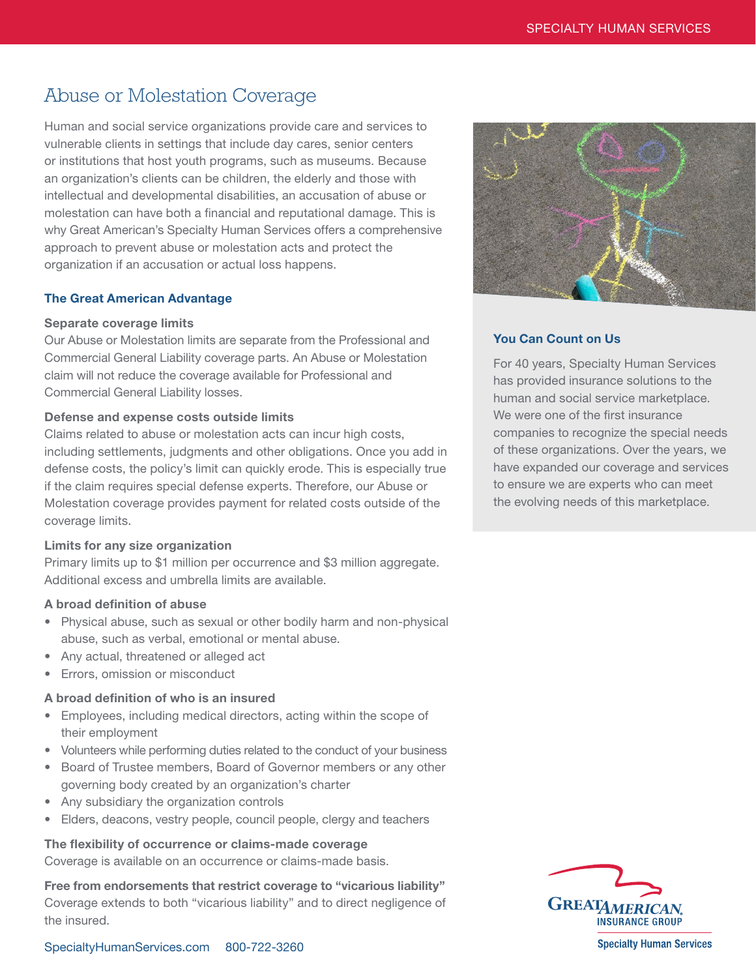# Abuse or Molestation Coverage

Human and social service organizations provide care and services to vulnerable clients in settings that include day cares, senior centers or institutions that host youth programs, such as museums. Because an organization's clients can be children, the elderly and those with intellectual and developmental disabilities, an accusation of abuse or molestation can have both a financial and reputational damage. This is why Great American's Specialty Human Services offers a comprehensive approach to prevent abuse or molestation acts and protect the organization if an accusation or actual loss happens.

### The Great American Advantage

### Separate coverage limits

Our Abuse or Molestation limits are separate from the Professional and Commercial General Liability coverage parts. An Abuse or Molestation claim will not reduce the coverage available for Professional and Commercial General Liability losses.

### Defense and expense costs outside limits

Claims related to abuse or molestation acts can incur high costs, including settlements, judgments and other obligations. Once you add in defense costs, the policy's limit can quickly erode. This is especially true if the claim requires special defense experts. Therefore, our Abuse or Molestation coverage provides payment for related costs outside of the coverage limits.

### Limits for any size organization

Primary limits up to \$1 million per occurrence and \$3 million aggregate. Additional excess and umbrella limits are available.

### A broad definition of abuse

- Physical abuse, such as sexual or other bodily harm and non-physical abuse, such as verbal, emotional or mental abuse.
- Any actual, threatened or alleged act
- Errors, omission or misconduct

### A broad definition of who is an insured

- Employees, including medical directors, acting within the scope of their employment
- Volunteers while performing duties related to the conduct of your business
- Board of Trustee members, Board of Governor members or any other governing body created by an organization's charter
- Any subsidiary the organization controls
- Elders, deacons, vestry people, council people, clergy and teachers

### The flexibility of occurrence or claims-made coverage

Coverage is available on an occurrence or claims-made basis.

Free from endorsements that restrict coverage to "vicarious liability" Coverage extends to both "vicarious liability" and to direct negligence of the insured.



### You Can Count on Us

For 40 years, Specialty Human Services has provided insurance solutions to the human and social service marketplace. We were one of the first insurance companies to recognize the special needs of these organizations. Over the years, we have expanded our coverage and services to ensure we are experts who can meet the evolving needs of this marketplace.



**Specialty Human Services** 

[SpecialtyHumanServices.com](http://specialtyhumanservices.com) 800-722-3260